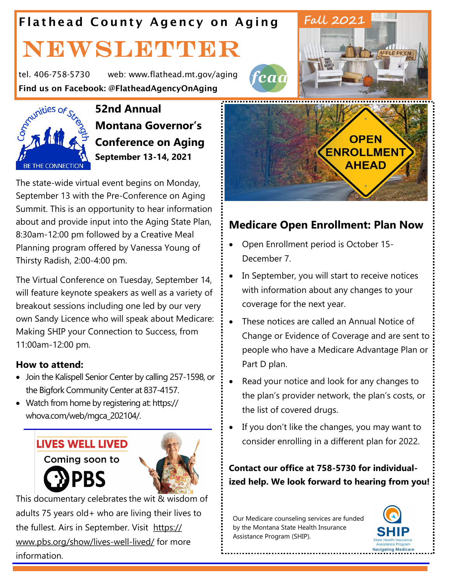## Flathead County Agency on Aging

# NEWSLETTER

tel. 406-758-5730 web: www.flathead.mt.gov/aging



Find us on Facebook: @FlatheadAgencyOnAging<br>52nd Annual<br> $\int_{0}^{\sqrt{N}}$  Montano **52nd Annual Montana Governor's Conference on Aging September 13-14, 2021**

The state-wide virtual event begins on Monday, September 13 with the Pre-Conference on Aging Summit. This is an opportunity to hear information about and provide input into the Aging State Plan, 8:30am-12:00 pm followed by a Creative Meal Planning program offered by Vanessa Young of Thirsty Radish, 2:00-4:00 pm.

The Virtual Conference on Tuesday, September 14, will feature keynote speakers as well as a variety of breakout sessions including one led by our very own Sandy Licence who will speak about Medicare: Making SHIP your Connection to Success, from 11:00am-12:00 pm.

#### **How to attend:**

- Join the Kalispell Senior Center by calling 257-1598, or the Bigfork Community Center at 837-4157.
- Watch from home by registering at: https:// whova.com/web/mgca\_202104/.

#### **LIVES WELL LIVED**

Coming soon to

**PBS** 



This documentary celebrates the wit & wisdom of adults 75 years old+ who are living their lives to the fullest. Airs in September. Visit [https://](https://www.pbs.org/show/lives-well-lived/) [www.pbs.org/show/lives-well-lived/](https://www.pbs.org/show/lives-well-lived/) for more information.





fead

#### **Medicare Open Enrollment: Plan Now**

- Open Enrollment period is October 15- December 7.
- In September, you will start to receive notices with information about any changes to your coverage for the next year.
- These notices are called an Annual Notice of Change or Evidence of Coverage and are sent to people who have a Medicare Advantage Plan or Part D plan.
- Read your notice and look for any changes to the plan's provider network, the plan's costs, or the list of covered drugs.
- If you don't like the changes, you may want to consider enrolling in a different plan for 2022.

**Contact our office at 758-5730 for individualized help. We look forward to hearing from you!**

Our Medicare counseling services are funded by the Montana State Health Insurance Assistance Program (SHIP).